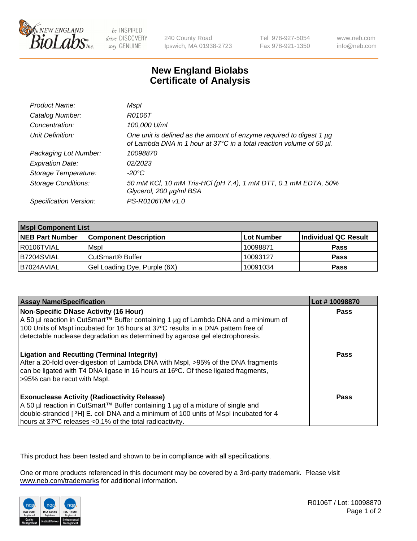

be INSPIRED drive DISCOVERY stay GENUINE

240 County Road Ipswich, MA 01938-2723 Tel 978-927-5054 Fax 978-921-1350

www.neb.com info@neb.com

## **New England Biolabs Certificate of Analysis**

| Product Name:              | Mspl                                                                                                                                             |
|----------------------------|--------------------------------------------------------------------------------------------------------------------------------------------------|
| Catalog Number:            | R0106T                                                                                                                                           |
| Concentration:             | 100,000 U/ml                                                                                                                                     |
| Unit Definition:           | One unit is defined as the amount of enzyme required to digest 1 $\mu$ g<br>of Lambda DNA in 1 hour at 37°C in a total reaction volume of 50 µl. |
| Packaging Lot Number:      | 10098870                                                                                                                                         |
| <b>Expiration Date:</b>    | 02/2023                                                                                                                                          |
| Storage Temperature:       | -20°C                                                                                                                                            |
| <b>Storage Conditions:</b> | 50 mM KCl, 10 mM Tris-HCl (pH 7.4), 1 mM DTT, 0.1 mM EDTA, 50%<br>Glycerol, 200 µg/ml BSA                                                        |
| Specification Version:     | PS-R0106T/M v1.0                                                                                                                                 |

| <b>Mspl Component List</b> |                                    |                   |                      |  |
|----------------------------|------------------------------------|-------------------|----------------------|--|
| <b>NEB Part Number</b>     | <b>Component Description</b>       | <b>Lot Number</b> | Individual QC Result |  |
| I R0106TVIAL               | Mspl                               | 10098871          | <b>Pass</b>          |  |
| B7204SVIAL                 | <b>CutSmart<sup>®</sup> Buffer</b> | 10093127          | <b>Pass</b>          |  |
| IB7024AVIAL                | Gel Loading Dye, Purple (6X)       | 10091034          | <b>Pass</b>          |  |

| <b>Assay Name/Specification</b>                                                                                                                                                                                                                                                                           | Lot #10098870 |
|-----------------------------------------------------------------------------------------------------------------------------------------------------------------------------------------------------------------------------------------------------------------------------------------------------------|---------------|
| <b>Non-Specific DNase Activity (16 Hour)</b><br>A 50 µl reaction in CutSmart™ Buffer containing 1 µg of Lambda DNA and a minimum of<br>100 Units of Mspl incubated for 16 hours at 37°C results in a DNA pattern free of<br>detectable nuclease degradation as determined by agarose gel electrophoresis. | <b>Pass</b>   |
| <b>Ligation and Recutting (Terminal Integrity)</b><br>After a 20-fold over-digestion of Lambda DNA with Mspl, >95% of the DNA fragments<br>can be ligated with T4 DNA ligase in 16 hours at 16 <sup>o</sup> C. Of these ligated fragments,<br>>95% can be recut with Mspl.                                | <b>Pass</b>   |
| <b>Exonuclease Activity (Radioactivity Release)</b><br>A 50 µl reaction in CutSmart™ Buffer containing 1 µg of a mixture of single and<br>double-stranded [3H] E. coli DNA and a minimum of 100 units of Mspl incubated for 4<br>hours at 37°C releases <0.1% of the total radioactivity.                 | Pass          |

This product has been tested and shown to be in compliance with all specifications.

One or more products referenced in this document may be covered by a 3rd-party trademark. Please visit <www.neb.com/trademarks>for additional information.